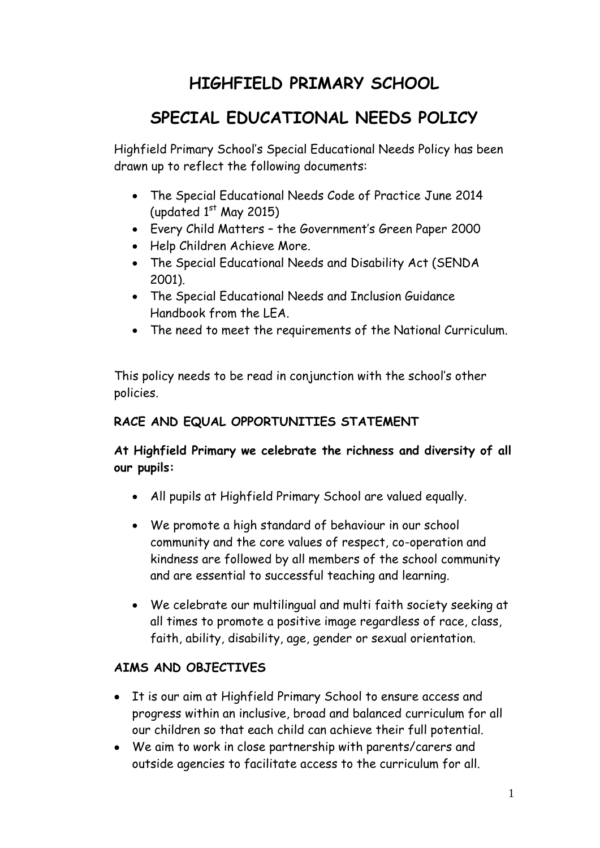# **HIGHFIELD PRIMARY SCHOOL**

# **SPECIAL EDUCATIONAL NEEDS POLICY**

Highfield Primary School's Special Educational Needs Policy has been drawn up to reflect the following documents:

- The Special Educational Needs Code of Practice June 2014 (updated  $1<sup>st</sup>$  May 2015)
- Every Child Matters the Government's Green Paper 2000
- Help Children Achieve More.
- The Special Educational Needs and Disability Act (SENDA 2001).
- The Special Educational Needs and Inclusion Guidance Handbook from the LEA.
- The need to meet the requirements of the National Curriculum.

This policy needs to be read in conjunction with the school's other policies.

# **RACE AND EQUAL OPPORTUNITIES STATEMENT**

# **At Highfield Primary we celebrate the richness and diversity of all our pupils:**

- All pupils at Highfield Primary School are valued equally.
- We promote a high standard of behaviour in our school community and the core values of respect, co-operation and kindness are followed by all members of the school community and are essential to successful teaching and learning.
- We celebrate our multilingual and multi faith society seeking at all times to promote a positive image regardless of race, class, faith, ability, disability, age, gender or sexual orientation.

# **AIMS AND OBJECTIVES**

- It is our aim at Highfield Primary School to ensure access and progress within an inclusive, broad and balanced curriculum for all our children so that each child can achieve their full potential.
- We aim to work in close partnership with parents/carers and outside agencies to facilitate access to the curriculum for all.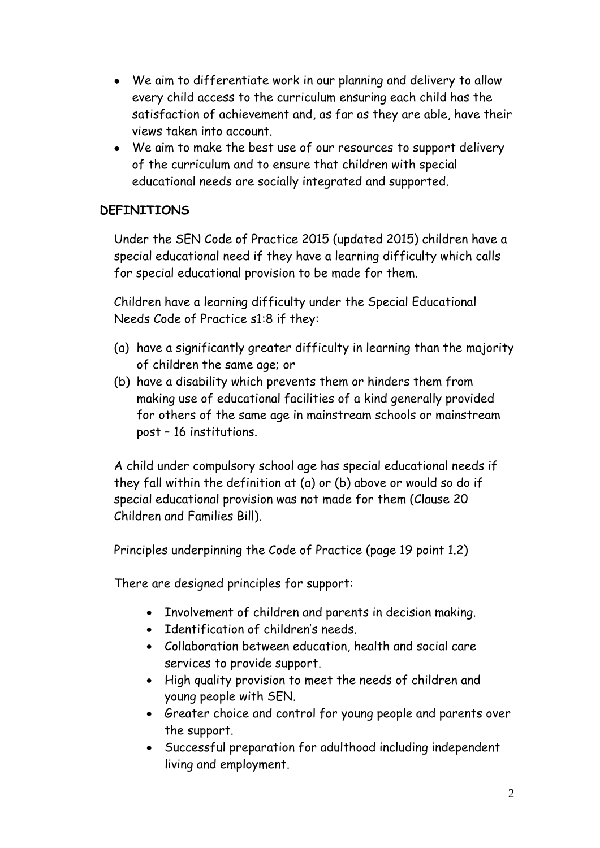- We aim to differentiate work in our planning and delivery to allow every child access to the curriculum ensuring each child has the satisfaction of achievement and, as far as they are able, have their views taken into account.
- We aim to make the best use of our resources to support delivery of the curriculum and to ensure that children with special educational needs are socially integrated and supported.

## **DEFINITIONS**

Under the SEN Code of Practice 2015 (updated 2015) children have a special educational need if they have a learning difficulty which calls for special educational provision to be made for them.

Children have a learning difficulty under the Special Educational Needs Code of Practice s1:8 if they:

- (a) have a significantly greater difficulty in learning than the majority of children the same age; or
- (b) have a disability which prevents them or hinders them from making use of educational facilities of a kind generally provided for others of the same age in mainstream schools or mainstream post – 16 institutions.

A child under compulsory school age has special educational needs if they fall within the definition at (a) or (b) above or would so do if special educational provision was not made for them (Clause 20 Children and Families Bill).

Principles underpinning the Code of Practice (page 19 point 1.2)

There are designed principles for support:

- Involvement of children and parents in decision making.
- Identification of children's needs.
- Collaboration between education, health and social care services to provide support.
- High quality provision to meet the needs of children and young people with SEN.
- Greater choice and control for young people and parents over the support.
- Successful preparation for adulthood including independent living and employment.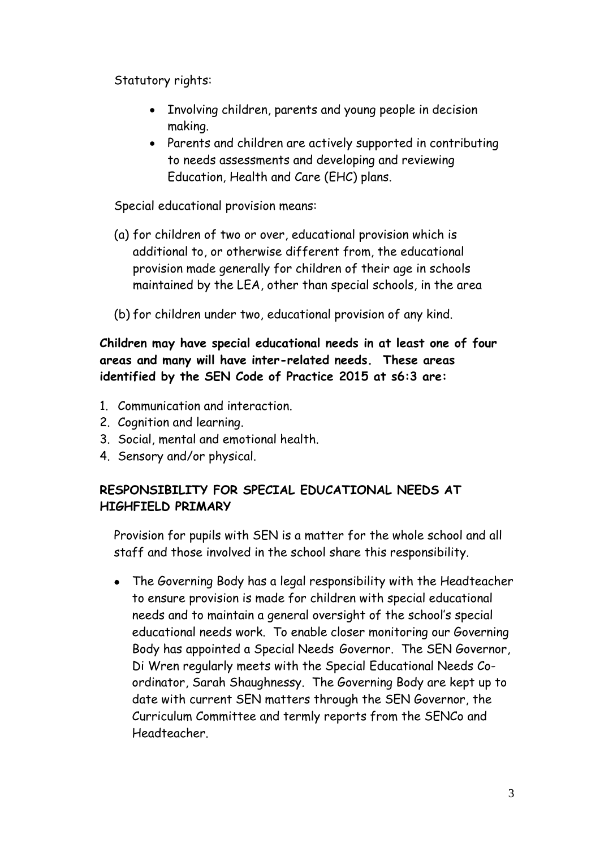Statutory rights:

- Involving children, parents and young people in decision making.
- Parents and children are actively supported in contributing to needs assessments and developing and reviewing Education, Health and Care (EHC) plans.

Special educational provision means:

- (a) for children of two or over, educational provision which is additional to, or otherwise different from, the educational provision made generally for children of their age in schools maintained by the LEA, other than special schools, in the area
- (b) for children under two, educational provision of any kind.

# **Children may have special educational needs in at least one of four areas and many will have inter-related needs. These areas identified by the SEN Code of Practice 2015 at s6:3 are:**

- 1. Communication and interaction.
- 2. Cognition and learning.
- 3. Social, mental and emotional health.
- 4. Sensory and/or physical.

# **RESPONSIBILITY FOR SPECIAL EDUCATIONAL NEEDS AT HIGHFIELD PRIMARY**

Provision for pupils with SEN is a matter for the whole school and all staff and those involved in the school share this responsibility.

 The Governing Body has a legal responsibility with the Headteacher to ensure provision is made for children with special educational needs and to maintain a general oversight of the school's special educational needs work. To enable closer monitoring our Governing Body has appointed a Special Needs Governor. The SEN Governor, Di Wren regularly meets with the Special Educational Needs Coordinator, Sarah Shaughnessy. The Governing Body are kept up to date with current SEN matters through the SEN Governor, the Curriculum Committee and termly reports from the SENCo and Headteacher.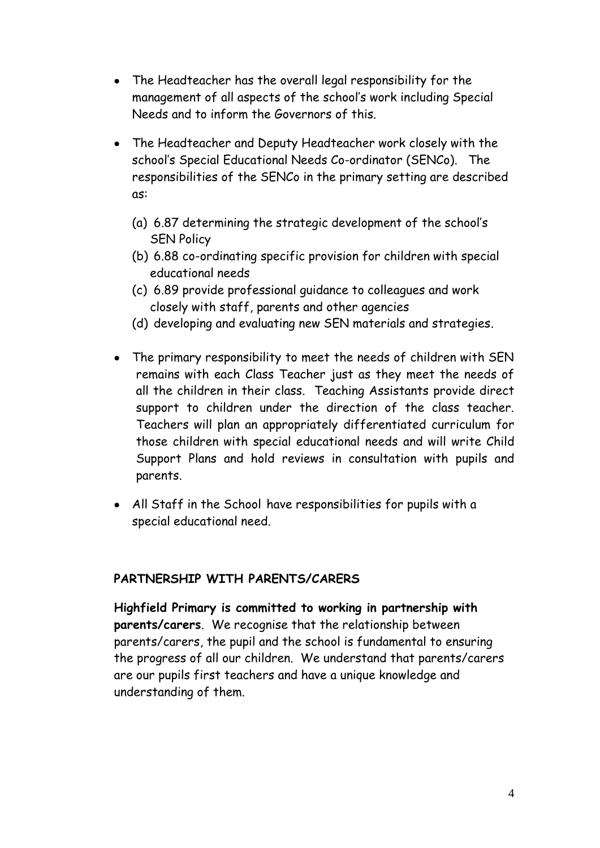- The Headteacher has the overall legal responsibility for the management of all aspects of the school's work including Special Needs and to inform the Governors of this.
- The Headteacher and Deputy Headteacher work closely with the school's Special Educational Needs Co-ordinator (SENCo). The responsibilities of the SENCo in the primary setting are described as:
	- (a) 6.87 determining the strategic development of the school's SEN Policy
	- (b) 6.88 co-ordinating specific provision for children with special educational needs
	- (c) 6.89 provide professional guidance to colleagues and work closely with staff, parents and other agencies
	- (d) developing and evaluating new SEN materials and strategies.
- The primary responsibility to meet the needs of children with SEN remains with each Class Teacher just as they meet the needs of all the children in their class. Teaching Assistants provide direct support to children under the direction of the class teacher. Teachers will plan an appropriately differentiated curriculum for those children with special educational needs and will write Child Support Plans and hold reviews in consultation with pupils and parents.
- All Staff in the School have responsibilities for pupils with a special educational need.

## **PARTNERSHIP WITH PARENTS/CARERS**

**Highfield Primary is committed to working in partnership with parents/carers**. We recognise that the relationship between parents/carers, the pupil and the school is fundamental to ensuring the progress of all our children. We understand that parents/carers are our pupils first teachers and have a unique knowledge and understanding of them.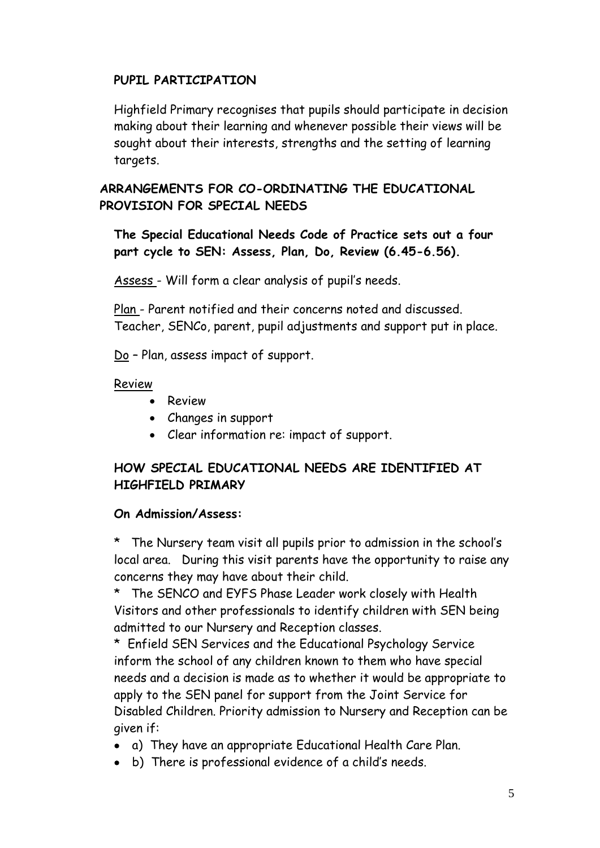# **PUPIL PARTICIPATION**

Highfield Primary recognises that pupils should participate in decision making about their learning and whenever possible their views will be sought about their interests, strengths and the setting of learning targets.

# **ARRANGEMENTS FOR CO-ORDINATING THE EDUCATIONAL PROVISION FOR SPECIAL NEEDS**

**The Special Educational Needs Code of Practice sets out a four part cycle to SEN: Assess, Plan, Do, Review (6.45-6.56).**

Assess - Will form a clear analysis of pupil's needs.

Plan - Parent notified and their concerns noted and discussed. Teacher, SENCo, parent, pupil adjustments and support put in place.

Do – Plan, assess impact of support.

#### Review

- **•** Review
- Changes in support
- Clear information re: impact of support.

# **HOW SPECIAL EDUCATIONAL NEEDS ARE IDENTIFIED AT HIGHFIELD PRIMARY**

## **On Admission/Assess:**

\* The Nursery team visit all pupils prior to admission in the school's local area. During this visit parents have the opportunity to raise any concerns they may have about their child.

\* The SENCO and EYFS Phase Leader work closely with Health Visitors and other professionals to identify children with SEN being admitted to our Nursery and Reception classes.

\* Enfield SEN Services and the Educational Psychology Service inform the school of any children known to them who have special needs and a decision is made as to whether it would be appropriate to apply to the SEN panel for support from the Joint Service for Disabled Children. Priority admission to Nursery and Reception can be given if:

- a) They have an appropriate Educational Health Care Plan.
- b) There is professional evidence of a child's needs.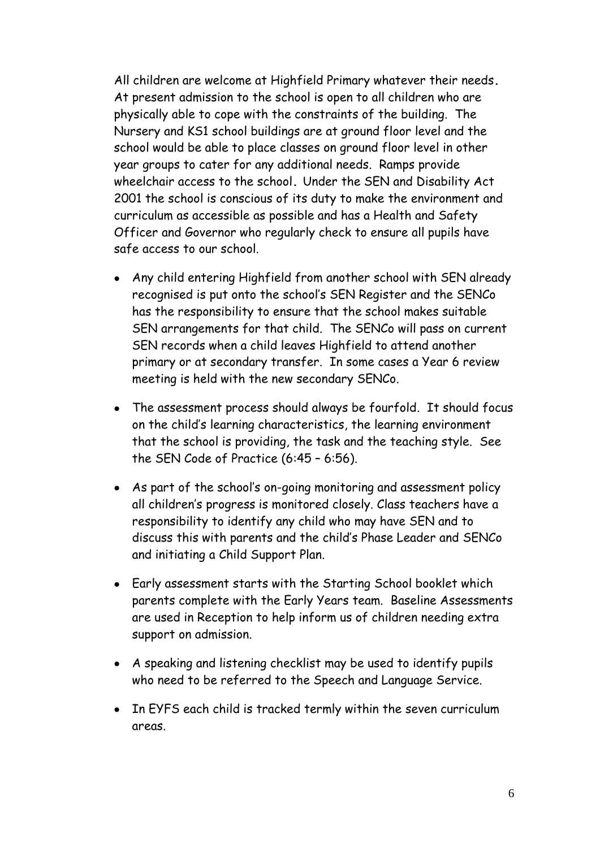All children are welcome at Highfield Primary whatever their needs**.** At present admission to the school is open to all children who are physically able to cope with the constraints of the building. The Nursery and KS1 school buildings are at ground floor level and the school would be able to place classes on ground floor level in other year groups to cater for any additional needs. Ramps provide wheelchair access to the school**.** Under the SEN and Disability Act 2001 the school is conscious of its duty to make the environment and curriculum as accessible as possible and has a Health and Safety Officer and Governor who regularly check to ensure all pupils have safe access to our school.

- Any child entering Highfield from another school with SEN already recognised is put onto the school's SEN Register and the SENCo has the responsibility to ensure that the school makes suitable SEN arrangements for that child. The SENCo will pass on current SEN records when a child leaves Highfield to attend another primary or at secondary transfer. In some cases a Year 6 review meeting is held with the new secondary SENCo.
- The assessment process should always be fourfold. It should focus on the child's learning characteristics, the learning environment that the school is providing, the task and the teaching style. See the SEN Code of Practice (6:45 – 6:56).
- As part of the school's on-going monitoring and assessment policy all children's progress is monitored closely. Class teachers have a responsibility to identify any child who may have SEN and to discuss this with parents and the child's Phase Leader and SENCo and initiating a Child Support Plan.
- Early assessment starts with the Starting School booklet which parents complete with the Early Years team. Baseline Assessments are used in Reception to help inform us of children needing extra support on admission.
- A speaking and listening checklist may be used to identify pupils who need to be referred to the Speech and Language Service.
- In EYFS each child is tracked termly within the seven curriculum areas.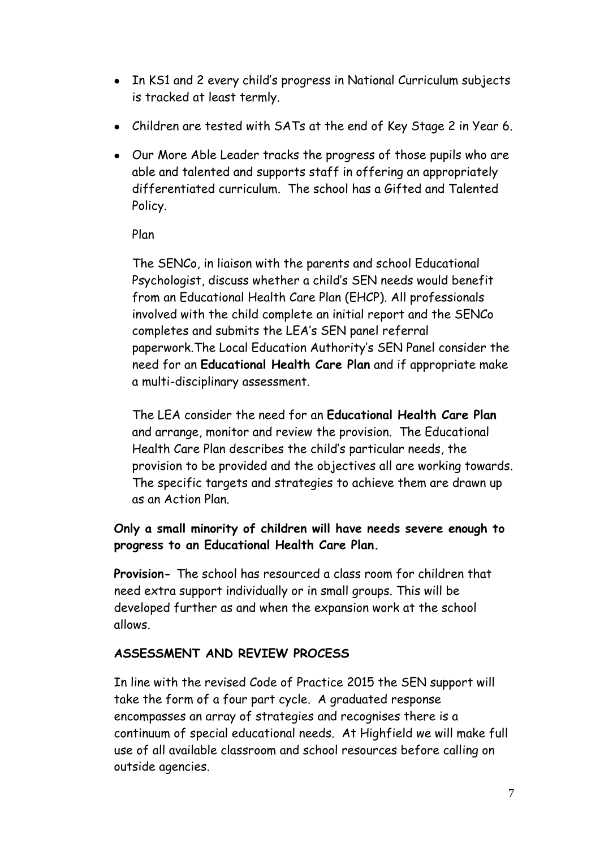- In KS1 and 2 every child's progress in National Curriculum subjects is tracked at least termly.
- Children are tested with SATs at the end of Key Stage 2 in Year 6.
- Our More Able Leader tracks the progress of those pupils who are able and talented and supports staff in offering an appropriately differentiated curriculum. The school has a Gifted and Talented Policy.

Plan

The SENCo, in liaison with the parents and school Educational Psychologist, discuss whether a child's SEN needs would benefit from an Educational Health Care Plan (EHCP). All professionals involved with the child complete an initial report and the SENCo completes and submits the LEA's SEN panel referral paperwork.The Local Education Authority's SEN Panel consider the need for an **Educational Health Care Plan** and if appropriate make a multi-disciplinary assessment.

The LEA consider the need for an **Educational Health Care Plan** and arrange, monitor and review the provision. The Educational Health Care Plan describes the child's particular needs, the provision to be provided and the objectives all are working towards. The specific targets and strategies to achieve them are drawn up as an Action Plan.

# **Only a small minority of children will have needs severe enough to progress to an Educational Health Care Plan.**

**Provision-** The school has resourced a class room for children that need extra support individually or in small groups. This will be developed further as and when the expansion work at the school allows.

# **ASSESSMENT AND REVIEW PROCESS**

In line with the revised Code of Practice 2015 the SEN support will take the form of a four part cycle. A graduated response encompasses an array of strategies and recognises there is a continuum of special educational needs. At Highfield we will make full use of all available classroom and school resources before calling on outside agencies.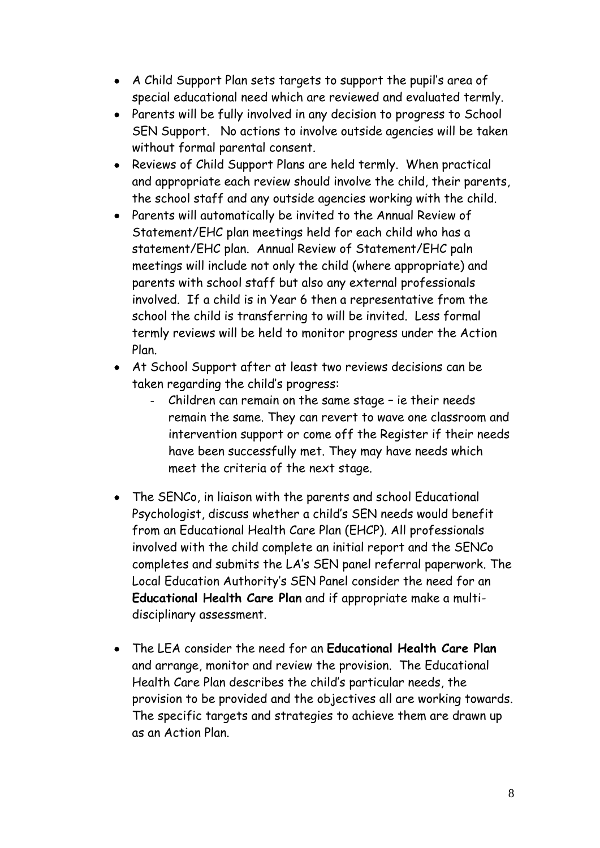- A Child Support Plan sets targets to support the pupil's area of special educational need which are reviewed and evaluated termly.
- Parents will be fully involved in any decision to progress to School SEN Support. No actions to involve outside agencies will be taken without formal parental consent.
- Reviews of Child Support Plans are held termly. When practical and appropriate each review should involve the child, their parents, the school staff and any outside agencies working with the child.
- Parents will automatically be invited to the Annual Review of Statement/EHC plan meetings held for each child who has a statement/EHC plan. Annual Review of Statement/EHC paln meetings will include not only the child (where appropriate) and parents with school staff but also any external professionals involved. If a child is in Year 6 then a representative from the school the child is transferring to will be invited. Less formal termly reviews will be held to monitor progress under the Action Plan.
- At School Support after at least two reviews decisions can be taken regarding the child's progress:
	- Children can remain on the same stage ie their needs remain the same. They can revert to wave one classroom and intervention support or come off the Register if their needs have been successfully met. They may have needs which meet the criteria of the next stage.
- The SENCo, in liaison with the parents and school Educational Psychologist, discuss whether a child's SEN needs would benefit from an Educational Health Care Plan (EHCP). All professionals involved with the child complete an initial report and the SENCo completes and submits the LA's SEN panel referral paperwork. The Local Education Authority's SEN Panel consider the need for an **Educational Health Care Plan** and if appropriate make a multidisciplinary assessment.
- The LEA consider the need for an **Educational Health Care Plan**  and arrange, monitor and review the provision. The Educational Health Care Plan describes the child's particular needs, the provision to be provided and the objectives all are working towards. The specific targets and strategies to achieve them are drawn up as an Action Plan.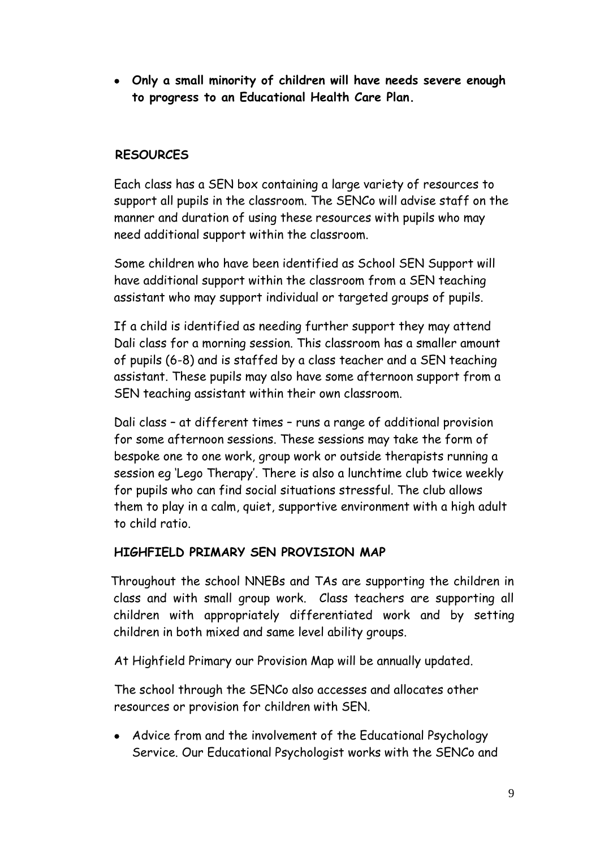**Only a small minority of children will have needs severe enough to progress to an Educational Health Care Plan.**

## **RESOURCES**

Each class has a SEN box containing a large variety of resources to support all pupils in the classroom. The SENCo will advise staff on the manner and duration of using these resources with pupils who may need additional support within the classroom.

Some children who have been identified as School SEN Support will have additional support within the classroom from a SEN teaching assistant who may support individual or targeted groups of pupils.

If a child is identified as needing further support they may attend Dali class for a morning session. This classroom has a smaller amount of pupils (6-8) and is staffed by a class teacher and a SEN teaching assistant. These pupils may also have some afternoon support from a SEN teaching assistant within their own classroom.

Dali class – at different times – runs a range of additional provision for some afternoon sessions. These sessions may take the form of bespoke one to one work, group work or outside therapists running a session eg 'Lego Therapy'. There is also a lunchtime club twice weekly for pupils who can find social situations stressful. The club allows them to play in a calm, quiet, supportive environment with a high adult to child ratio.

#### **HIGHFIELD PRIMARY SEN PROVISION MAP**

 Throughout the school NNEBs and TAs are supporting the children in class and with small group work. Class teachers are supporting all children with appropriately differentiated work and by setting children in both mixed and same level ability groups.

At Highfield Primary our Provision Map will be annually updated.

The school through the SENCo also accesses and allocates other resources or provision for children with SEN.

• Advice from and the involvement of the Educational Psychology Service. Our Educational Psychologist works with the SENCo and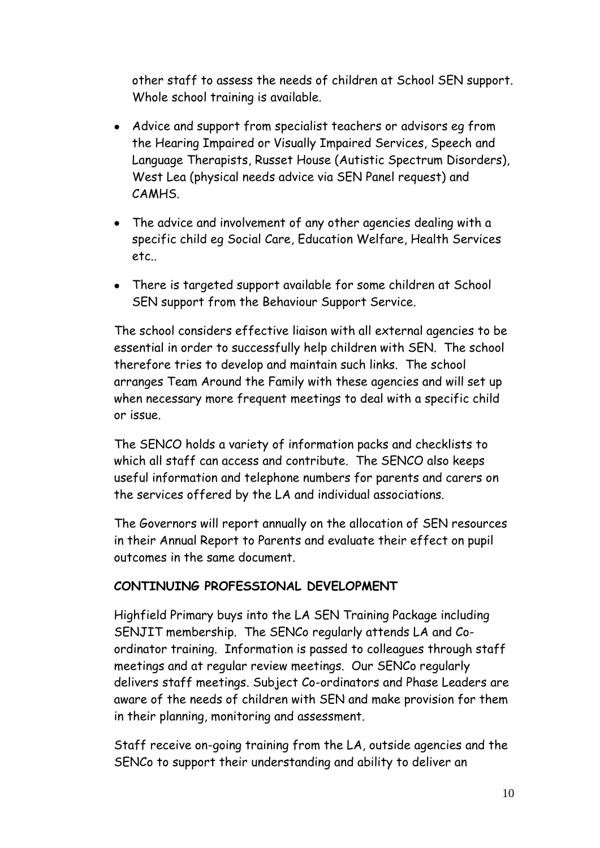other staff to assess the needs of children at School SEN support. Whole school training is available.

- Advice and support from specialist teachers or advisors eg from the Hearing Impaired or Visually Impaired Services, Speech and Language Therapists, Russet House (Autistic Spectrum Disorders), West Lea (physical needs advice via SEN Panel request) and CAMHS.
- The advice and involvement of any other agencies dealing with a specific child eg Social Care, Education Welfare, Health Services etc..
- There is targeted support available for some children at School SEN support from the Behaviour Support Service.

The school considers effective liaison with all external agencies to be essential in order to successfully help children with SEN. The school therefore tries to develop and maintain such links. The school arranges Team Around the Family with these agencies and will set up when necessary more frequent meetings to deal with a specific child or issue.

The SENCO holds a variety of information packs and checklists to which all staff can access and contribute. The SENCO also keeps useful information and telephone numbers for parents and carers on the services offered by the LA and individual associations.

The Governors will report annually on the allocation of SEN resources in their Annual Report to Parents and evaluate their effect on pupil outcomes in the same document.

## **CONTINUING PROFESSIONAL DEVELOPMENT**

Highfield Primary buys into the LA SEN Training Package including SENJIT membership. The SENCo regularly attends LA and Coordinator training. Information is passed to colleagues through staff meetings and at regular review meetings. Our SENCo regularly delivers staff meetings. Subject Co-ordinators and Phase Leaders are aware of the needs of children with SEN and make provision for them in their planning, monitoring and assessment.

Staff receive on-going training from the LA, outside agencies and the SENCo to support their understanding and ability to deliver an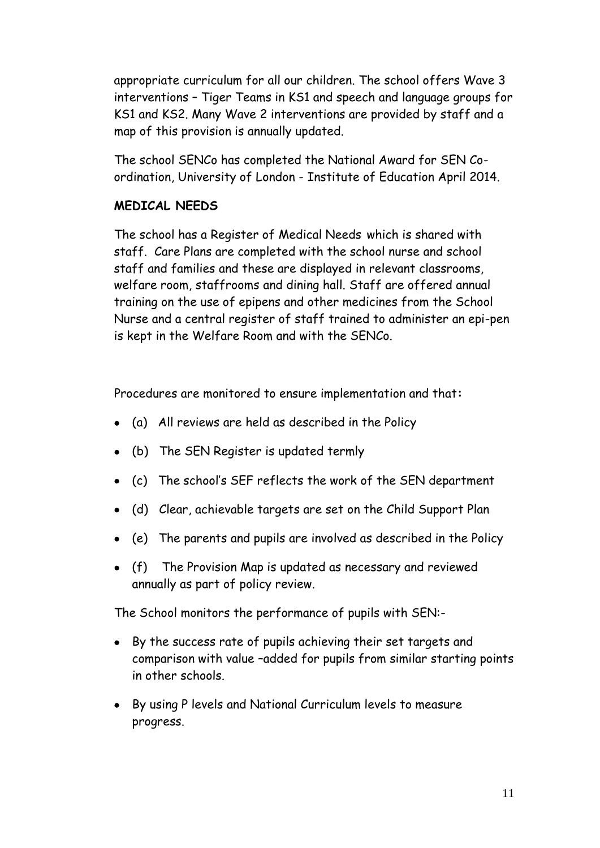appropriate curriculum for all our children. The school offers Wave 3 interventions – Tiger Teams in KS1 and speech and language groups for KS1 and KS2. Many Wave 2 interventions are provided by staff and a map of this provision is annually updated.

The school SENCo has completed the National Award for SEN Coordination, University of London - Institute of Education April 2014.

## **MEDICAL NEEDS**

The school has a Register of Medical Needs which is shared with staff. Care Plans are completed with the school nurse and school staff and families and these are displayed in relevant classrooms, welfare room, staffrooms and dining hall. Staff are offered annual training on the use of epipens and other medicines from the School Nurse and a central register of staff trained to administer an epi-pen is kept in the Welfare Room and with the SENCo.

Procedures are monitored to ensure implementation and that**:**

- (a) All reviews are held as described in the Policy
- (b) The SEN Register is updated termly
- (c) The school's SEF reflects the work of the SEN department
- (d) Clear, achievable targets are set on the Child Support Plan
- (e) The parents and pupils are involved as described in the Policy
- (f) The Provision Map is updated as necessary and reviewed annually as part of policy review.

The School monitors the performance of pupils with SEN:-

- By the success rate of pupils achieving their set targets and comparison with value –added for pupils from similar starting points in other schools.
- By using P levels and National Curriculum levels to measure progress.